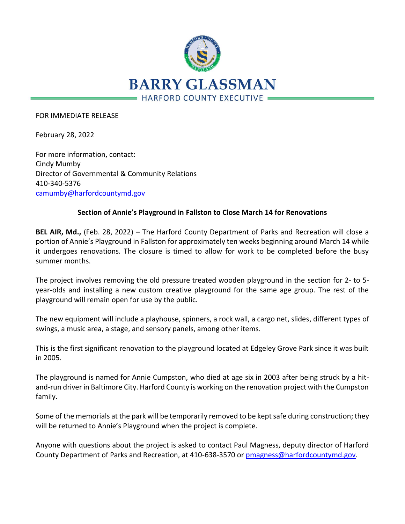

## FOR IMMEDIATE RELEASE

February 28, 2022

For more information, contact: Cindy Mumby Director of Governmental & Community Relations 410-340-5376 [camumby@harfordcountymd.gov](mailto:camumby@harfordcountymd.gov)

## **Section of Annie's Playground in Fallston to Close March 14 for Renovations**

**BEL AIR, Md.,** (Feb. 28, 2022) – The Harford County Department of Parks and Recreation will close a portion of Annie's Playground in Fallston for approximately ten weeks beginning around March 14 while it undergoes renovations. The closure is timed to allow for work to be completed before the busy summer months.

The project involves removing the old pressure treated wooden playground in the section for 2- to 5 year-olds and installing a new custom creative playground for the same age group. The rest of the playground will remain open for use by the public.

The new equipment will include a playhouse, spinners, a rock wall, a cargo net, slides, different types of swings, a music area, a stage, and sensory panels, among other items.

This is the first significant renovation to the playground located at Edgeley Grove Park since it was built in 2005.

The playground is named for Annie Cumpston, who died at age six in 2003 after being struck by a hitand-run driver in Baltimore City. Harford County is working on the renovation project with the Cumpston family.

Some of the memorials at the park will be temporarily removed to be kept safe during construction; they will be returned to Annie's Playground when the project is complete.

Anyone with questions about the project is asked to contact Paul Magness, deputy director of Harford County Department of Parks and Recreation, at 410-638-3570 or [pmagness@harfordcountymd.gov.](file:///C:/Users/pmagness/AppData/Local/Microsoft/Windows/INetCache/Content.Outlook/L437YBBU/pmagness@harfordcountymd.gov)